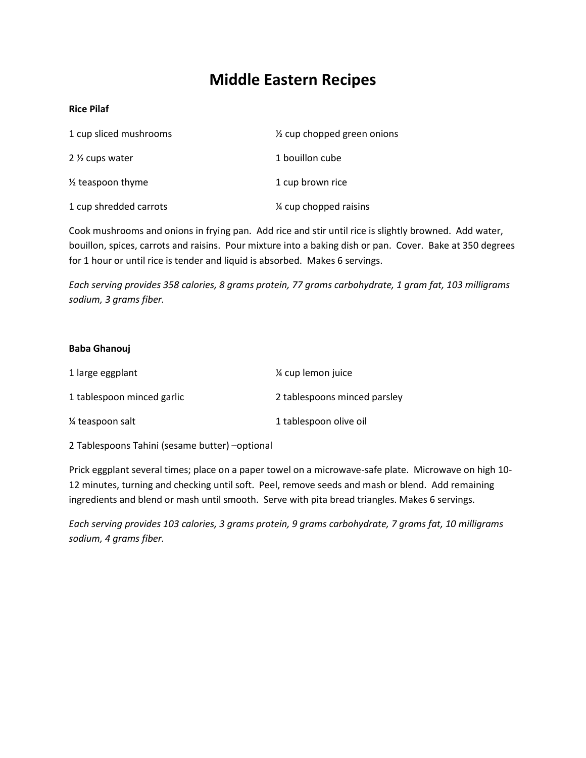# **Middle Eastern Recipes**

# **Rice Pilaf**

| 1 cup sliced mushrooms       | $\frac{1}{2}$ cup chopped green onions |
|------------------------------|----------------------------------------|
| 2 <sup>1/2</sup> cups water  | 1 bouillon cube                        |
| $\frac{1}{2}$ teaspoon thyme | 1 cup brown rice                       |
| 1 cup shredded carrots       | 1⁄4 cup chopped raisins                |

Cook mushrooms and onions in frying pan. Add rice and stir until rice is slightly browned. Add water, bouillon, spices, carrots and raisins. Pour mixture into a baking dish or pan. Cover. Bake at 350 degrees for 1 hour or until rice is tender and liquid is absorbed. Makes 6 servings.

*Each serving provides 358 calories, 8 grams protein, 77 grams carbohydrate, 1 gram fat, 103 milligrams sodium, 3 grams fiber.*

#### **Baba Ghanouj**

| 1 large eggplant           | % cup lemon juice            |
|----------------------------|------------------------------|
| 1 tablespoon minced garlic | 2 tablespoons minced parsley |
| 1/4 teaspoon salt          | 1 tablespoon olive oil       |

2 Tablespoons Tahini (sesame butter) –optional

Prick eggplant several times; place on a paper towel on a microwave-safe plate. Microwave on high 10- 12 minutes, turning and checking until soft. Peel, remove seeds and mash or blend. Add remaining ingredients and blend or mash until smooth. Serve with pita bread triangles. Makes 6 servings.

*Each serving provides 103 calories, 3 grams protein, 9 grams carbohydrate, 7 grams fat, 10 milligrams sodium, 4 grams fiber.*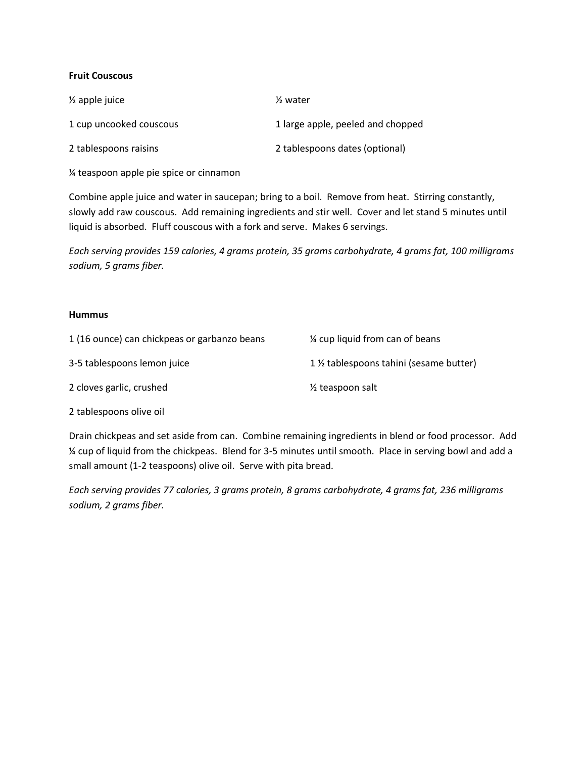# **Fruit Couscous**

| $\frac{1}{2}$ apple juice | $\frac{1}{2}$ water               |
|---------------------------|-----------------------------------|
| 1 cup uncooked couscous   | 1 large apple, peeled and chopped |
| 2 tablespoons raisins     | 2 tablespoons dates (optional)    |

¼ teaspoon apple pie spice or cinnamon

Combine apple juice and water in saucepan; bring to a boil. Remove from heat. Stirring constantly, slowly add raw couscous. Add remaining ingredients and stir well. Cover and let stand 5 minutes until liquid is absorbed. Fluff couscous with a fork and serve. Makes 6 servings.

*Each serving provides 159 calories, 4 grams protein, 35 grams carbohydrate, 4 grams fat, 100 milligrams sodium, 5 grams fiber.*

#### **Hummus**

| 1 (16 ounce) can chickpeas or garbanzo beans | % cup liquid from can of beans         |
|----------------------------------------------|----------------------------------------|
| 3-5 tablespoons lemon juice                  | 1 % tablespoons tahini (sesame butter) |
| 2 cloves garlic, crushed                     | $\frac{1}{2}$ teaspoon salt            |

2 tablespoons olive oil

Drain chickpeas and set aside from can. Combine remaining ingredients in blend or food processor. Add ¼ cup of liquid from the chickpeas. Blend for 3-5 minutes until smooth. Place in serving bowl and add a small amount (1-2 teaspoons) olive oil. Serve with pita bread.

*Each serving provides 77 calories, 3 grams protein, 8 grams carbohydrate, 4 grams fat, 236 milligrams sodium, 2 grams fiber.*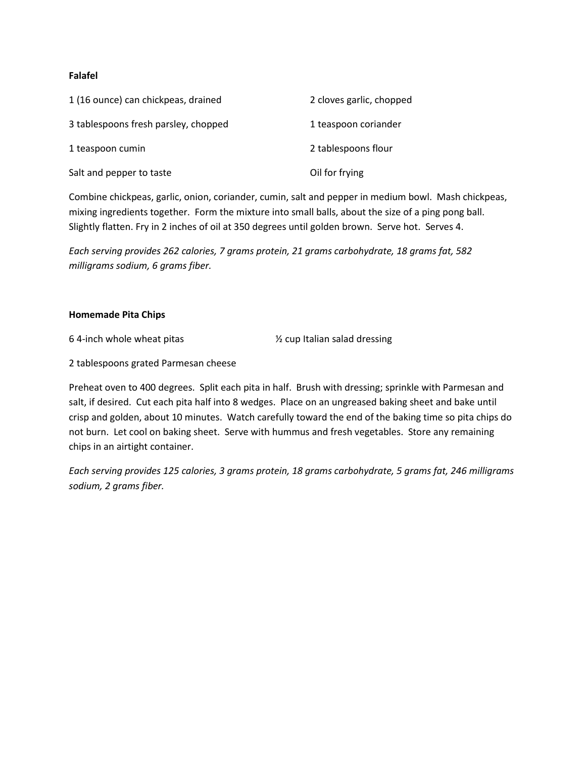# **Falafel**

| 1 (16 ounce) can chickpeas, drained  | 2 cloves garlic, chopped |
|--------------------------------------|--------------------------|
| 3 tablespoons fresh parsley, chopped | 1 teaspoon coriander     |
| 1 teaspoon cumin                     | 2 tablespoons flour      |
| Salt and pepper to taste             | Oil for frying           |

Combine chickpeas, garlic, onion, coriander, cumin, salt and pepper in medium bowl. Mash chickpeas, mixing ingredients together. Form the mixture into small balls, about the size of a ping pong ball. Slightly flatten. Fry in 2 inches of oil at 350 degrees until golden brown. Serve hot. Serves 4.

*Each serving provides 262 calories, 7 grams protein, 21 grams carbohydrate, 18 grams fat, 582 milligrams sodium, 6 grams fiber.*

#### **Homemade Pita Chips**

6 4-inch whole wheat pitas ½ cup Italian salad dressing

2 tablespoons grated Parmesan cheese

Preheat oven to 400 degrees. Split each pita in half. Brush with dressing; sprinkle with Parmesan and salt, if desired. Cut each pita half into 8 wedges. Place on an ungreased baking sheet and bake until crisp and golden, about 10 minutes. Watch carefully toward the end of the baking time so pita chips do not burn. Let cool on baking sheet. Serve with hummus and fresh vegetables. Store any remaining chips in an airtight container.

*Each serving provides 125 calories, 3 grams protein, 18 grams carbohydrate, 5 grams fat, 246 milligrams sodium, 2 grams fiber.*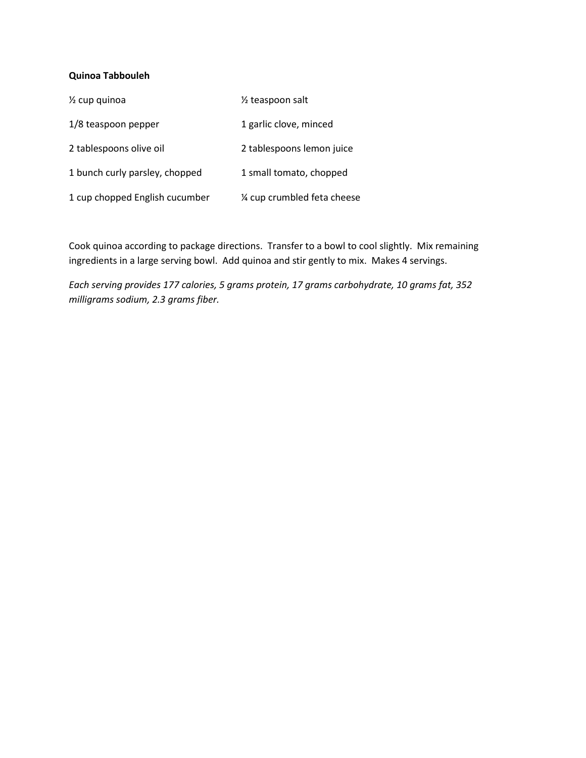# **Quinoa Tabbouleh**

| $\frac{1}{2}$ cup quinoa       | 1/ <sub>2</sub> teaspoon salt |
|--------------------------------|-------------------------------|
| 1/8 teaspoon pepper            | 1 garlic clove, minced        |
| 2 tablespoons olive oil        | 2 tablespoons lemon juice     |
| 1 bunch curly parsley, chopped | 1 small tomato, chopped       |
| 1 cup chopped English cucumber | % cup crumbled feta cheese    |

Cook quinoa according to package directions. Transfer to a bowl to cool slightly. Mix remaining ingredients in a large serving bowl. Add quinoa and stir gently to mix. Makes 4 servings.

*Each serving provides 177 calories, 5 grams protein, 17 grams carbohydrate, 10 grams fat, 352 milligrams sodium, 2.3 grams fiber.*